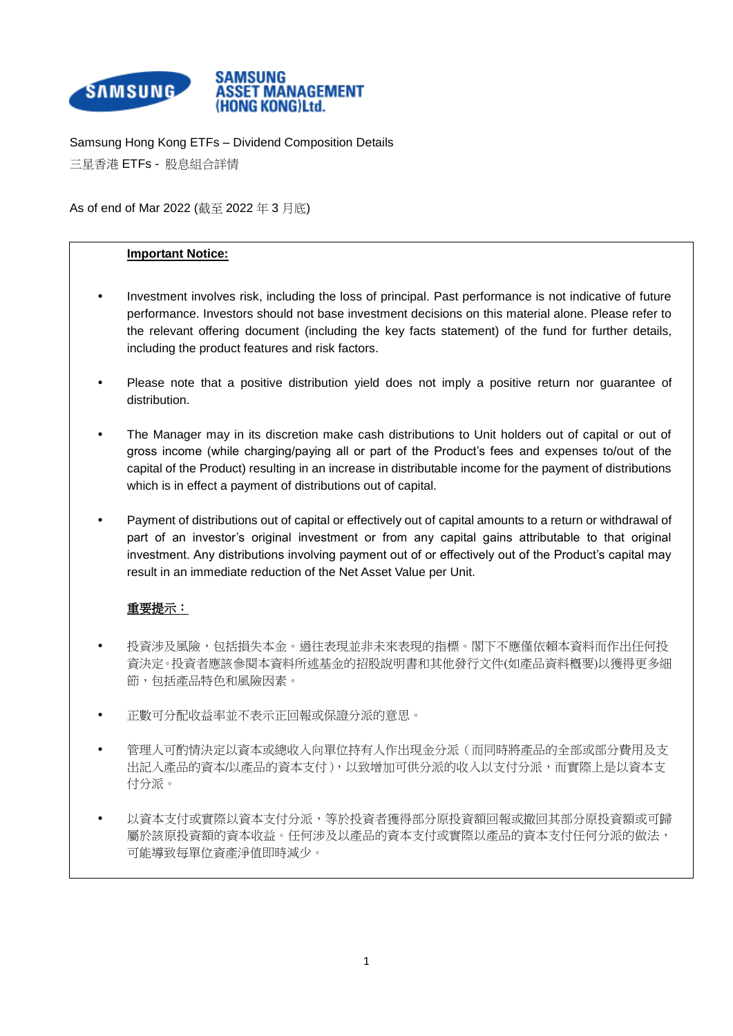

Samsung Hong Kong ETFs – Dividend Composition Details 三星香港 ETFs - 股息組合詳情

As of end of Mar 2022 (截至 2022 年 3 月底)

## **Important Notice:**

- Investment involves risk, including the loss of principal. Past performance is not indicative of future performance. Investors should not base investment decisions on this material alone. Please refer to the relevant offering document (including the key facts statement) of the fund for further details, including the product features and risk factors.
- Please note that a positive distribution yield does not imply a positive return nor guarantee of distribution.
- The Manager may in its discretion make cash distributions to Unit holders out of capital or out of gross income (while charging/paying all or part of the Product's fees and expenses to/out of the capital of the Product) resulting in an increase in distributable income for the payment of distributions which is in effect a payment of distributions out of capital.
- Payment of distributions out of capital or effectively out of capital amounts to a return or withdrawal of part of an investor's original investment or from any capital gains attributable to that original investment. Any distributions involving payment out of or effectively out of the Product's capital may result in an immediate reduction of the Net Asset Value per Unit.

## 重要提示:

- 投資涉及風險,包括損失本金。過往表現並非未來表現的指標。閣下不應僅依賴本資料而作出任何投 資決定。投資者應該參閱本資料所述基金的招股說明書和其他發行文件(如產品資料槪要)以獲得更多細 節,包括產品特色和風險因素。
- 正數可分配收益率並不表示正回報或保證分派的意思。
- 管理人可酌情決定以資本或總收入向單位持有人作出現金分派(而同時將產品的全部或部分費用及支 出記入產品的資本/以產品的資本支付),以致增加可供分派的收入以支付分派,而實際上是以資本支 付分派。
- 以資本支付或實際以資本支付分派,等於投資者獲得部分原投資額回報或撤回其部分原投資額或可歸 屬於該原投資額的資本收益。任何涉及以產品的資本支付或實際以產品的資本支付任何分派的做法, 可能導致每單位資產淨值即時減少。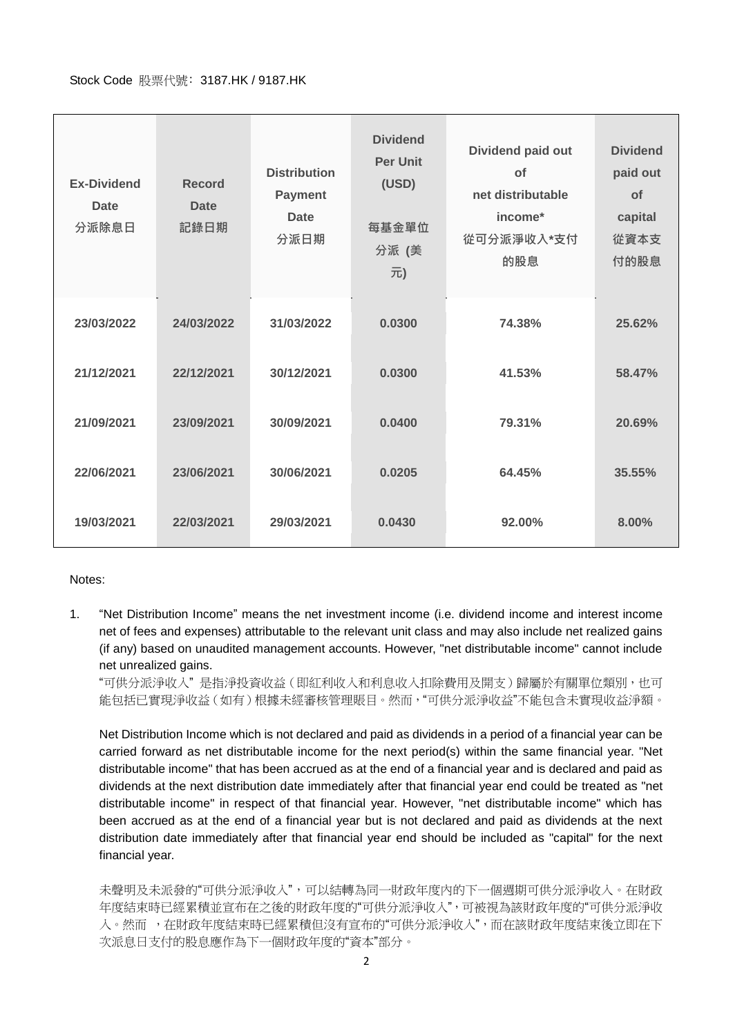## Stock Code 股票代號﹕3187.HK / 9187.HK

| <b>Ex-Dividend</b><br><b>Date</b><br>分派除息日 | <b>Record</b><br><b>Date</b><br>記錄日期 | <b>Distribution</b><br><b>Payment</b><br><b>Date</b><br>分派日期 | <b>Dividend</b><br><b>Per Unit</b><br>(USD)<br>每基金單位<br>分派 (美<br>元) | Dividend paid out<br>of<br>net distributable<br>income*<br>從可分派淨收入*支付<br>的股息 | <b>Dividend</b><br>paid out<br>of<br>capital<br>從資本支<br>付的股息 |
|--------------------------------------------|--------------------------------------|--------------------------------------------------------------|---------------------------------------------------------------------|------------------------------------------------------------------------------|--------------------------------------------------------------|
| 23/03/2022                                 | 24/03/2022                           | 31/03/2022                                                   | 0.0300                                                              | 74.38%                                                                       | 25.62%                                                       |
| 21/12/2021                                 | 22/12/2021                           | 30/12/2021                                                   | 0.0300                                                              | 41.53%                                                                       | 58.47%                                                       |
| 21/09/2021                                 | 23/09/2021                           | 30/09/2021                                                   | 0.0400                                                              | 79.31%                                                                       | 20.69%                                                       |
| 22/06/2021                                 | 23/06/2021                           | 30/06/2021                                                   | 0.0205                                                              | 64.45%                                                                       | 35.55%                                                       |
| 19/03/2021                                 | 22/03/2021                           | 29/03/2021                                                   | 0.0430                                                              | 92.00%                                                                       | 8.00%                                                        |

## Notes:

1. "Net Distribution Income" means the net investment income (i.e. dividend income and interest income net of fees and expenses) attributable to the relevant unit class and may also include net realized gains (if any) based on unaudited management accounts. However, "net distributable income" cannot include net unrealized gains.

"可供分派淨收入" 是指淨投資收益(即紅利收入和利息收入扣除費用及開支)歸屬於有關單位類別,也可 能包括已實現淨收益(如有)根據未經審核管理賬目。然而,"可供分派淨收益"不能包含未實現收益淨額。

Net Distribution Income which is not declared and paid as dividends in a period of a financial year can be carried forward as net distributable income for the next period(s) within the same financial year. "Net distributable income" that has been accrued as at the end of a financial year and is declared and paid as dividends at the next distribution date immediately after that financial year end could be treated as "net distributable income" in respect of that financial year. However, "net distributable income" which has been accrued as at the end of a financial year but is not declared and paid as dividends at the next distribution date immediately after that financial year end should be included as "capital" for the next financial year.

未聲明及未派發的"可供分派淨收入",可以結轉為同一財政年度內的下一個週期可供分派淨收入。在財政 年度結束時已經累積並宣布在之後的財政年度的"可供分派淨收入",可被視為該財政年度的"可供分派淨收 入。然而 , 在財政年度結束時已經累積但沒有宣布的"可供分派淨收入", 而在該財政年度結束後立即在下 次派息日支付的股息應作為下一個財政年度的"資本"部分。